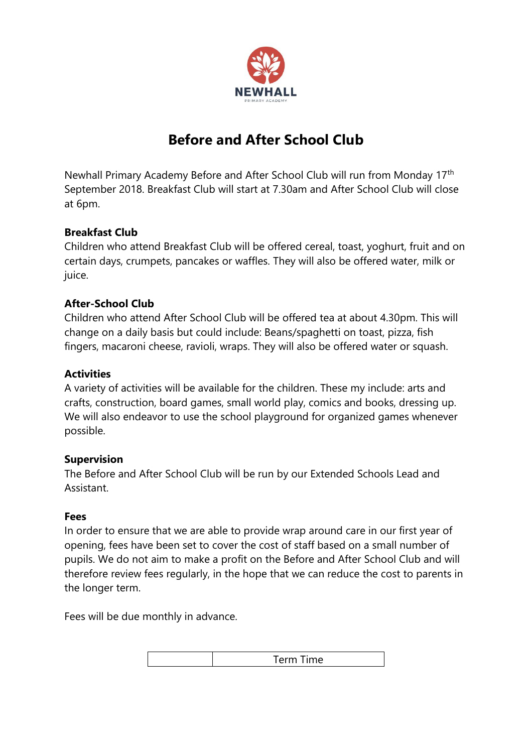

# **Before and After School Club**

Newhall Primary Academy Before and After School Club will run from Monday 17th September 2018. Breakfast Club will start at 7.30am and After School Club will close at 6pm.

## **Breakfast Club**

Children who attend Breakfast Club will be offered cereal, toast, yoghurt, fruit and on certain days, crumpets, pancakes or waffles. They will also be offered water, milk or juice.

## **After-School Club**

Children who attend After School Club will be offered tea at about 4.30pm. This will change on a daily basis but could include: Beans/spaghetti on toast, pizza, fish fingers, macaroni cheese, ravioli, wraps. They will also be offered water or squash.

## **Activities**

A variety of activities will be available for the children. These my include: arts and crafts, construction, board games, small world play, comics and books, dressing up. We will also endeavor to use the school playground for organized games whenever possible.

#### **Supervision**

The Before and After School Club will be run by our Extended Schools Lead and Assistant.

#### **Fees**

In order to ensure that we are able to provide wrap around care in our first year of opening, fees have been set to cover the cost of staff based on a small number of pupils. We do not aim to make a profit on the Before and After School Club and will therefore review fees regularly, in the hope that we can reduce the cost to parents in the longer term.

Fees will be due monthly in advance.

| ma<br>.<br>- - - - - |
|----------------------|
|                      |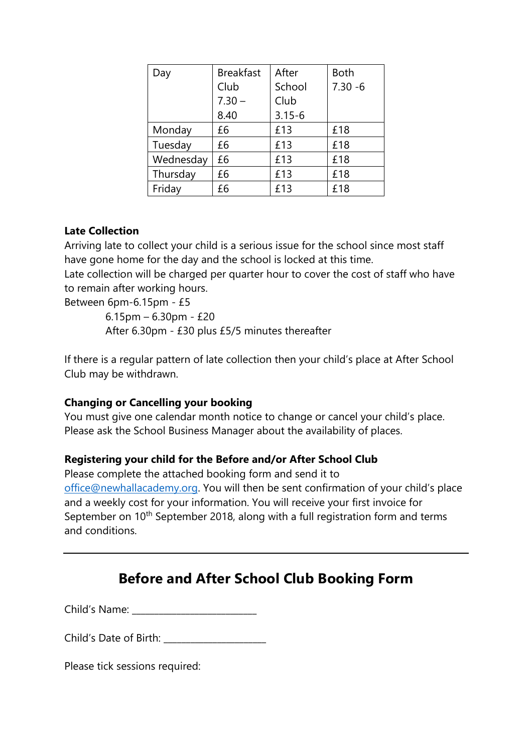| Day       | <b>Breakfast</b> | After      | <b>Both</b> |  |
|-----------|------------------|------------|-------------|--|
|           | Club             | School     | $7.30 - 6$  |  |
|           | $7.30 -$         | Club       |             |  |
|           | 8.40             | $3.15 - 6$ |             |  |
| Monday    | £6               | £13        | £18         |  |
| Tuesday   | £6               | £13        | £18         |  |
| Wednesday | £6               | £13        | £18         |  |
| Thursday  | £6               | £13        | £18         |  |
| Friday    | £6               | £13        | £18         |  |

## **Late Collection**

Arriving late to collect your child is a serious issue for the school since most staff have gone home for the day and the school is locked at this time.

Late collection will be charged per quarter hour to cover the cost of staff who have to remain after working hours.

Between 6pm-6.15pm - £5

 6.15pm – 6.30pm - £20 After 6.30pm - £30 plus £5/5 minutes thereafter

If there is a regular pattern of late collection then your child's place at After School Club may be withdrawn.

## **Changing or Cancelling your booking**

You must give one calendar month notice to change or cancel your child's place. Please ask the School Business Manager about the availability of places.

#### **Registering your child for the Before and/or After School Club**

Please complete the attached booking form and send it to [office@newhallacademy.org](mailto:office@newhallacademy.org). You will then be sent confirmation of your child's place and a weekly cost for your information. You will receive your first invoice for September on 10<sup>th</sup> September 2018, along with a full registration form and terms and conditions.

## **Before and After School Club Booking Form**

Child's Name:

Child's Date of Birth: \_\_\_\_\_\_\_\_\_\_\_\_\_\_\_\_\_\_\_\_\_\_\_

Please tick sessions required: